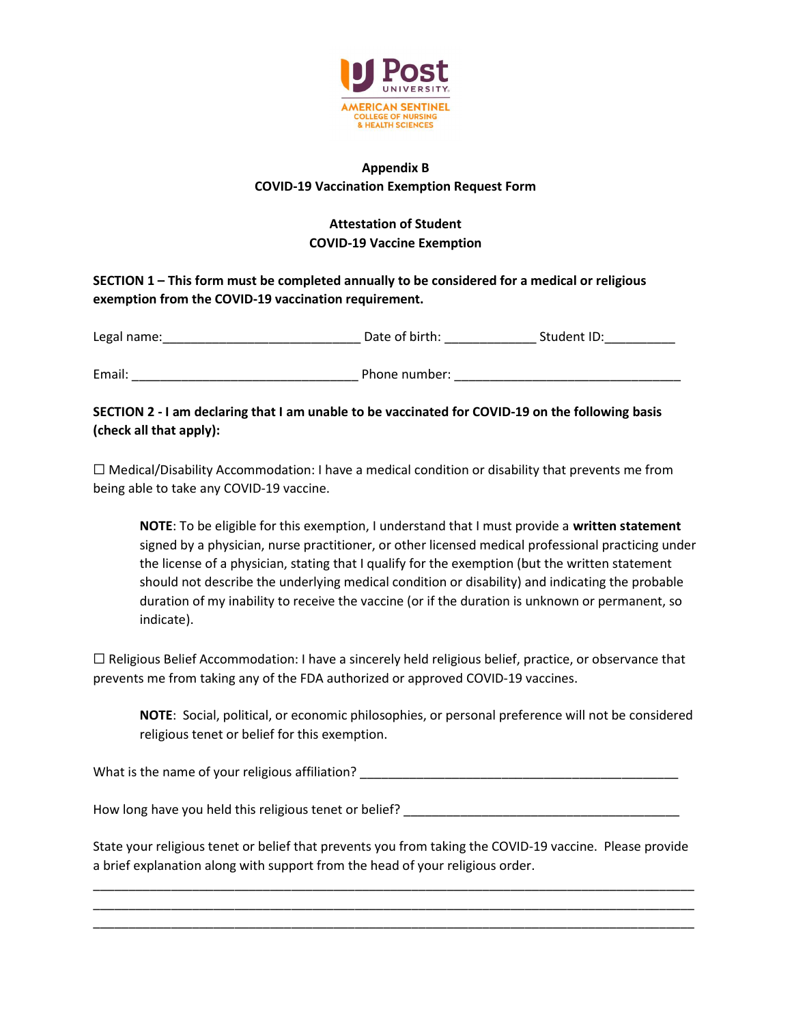

## Appendix B COVID-19 Vaccination Exemption Request Form

# Attestation of Student COVID-19 Vaccine Exemption

SECTION 1 – This form must be completed annually to be considered for a medical or religious exemption from the COVID-19 vaccination requirement.

| Legal name: | Date of birth: | Student ID: |
|-------------|----------------|-------------|
|             |                |             |
| Email:      | Phone number:  |             |

## SECTION 2 - I am declaring that I am unable to be vaccinated for COVID-19 on the following basis (check all that apply):

 $\Box$  Medical/Disability Accommodation: I have a medical condition or disability that prevents me from being able to take any COVID-19 vaccine.

NOTE: To be eligible for this exemption, I understand that I must provide a written statement signed by a physician, nurse practitioner, or other licensed medical professional practicing under the license of a physician, stating that I qualify for the exemption (but the written statement should not describe the underlying medical condition or disability) and indicating the probable duration of my inability to receive the vaccine (or if the duration is unknown or permanent, so indicate).

 $\Box$  Religious Belief Accommodation: I have a sincerely held religious belief, practice, or observance that prevents me from taking any of the FDA authorized or approved COVID-19 vaccines.

NOTE: Social, political, or economic philosophies, or personal preference will not be considered religious tenet or belief for this exemption.

What is the name of your religious affiliation? **Example 20** 20 20 20 21 22 22 23 24 25 26 27 28 29 29 20 20 20 20

How long have you held this religious tenet or belief? \_\_\_\_\_\_\_\_\_\_\_\_\_\_\_\_\_\_\_\_\_\_\_\_\_\_\_\_\_\_\_\_\_\_\_\_\_\_\_

State your religious tenet or belief that prevents you from taking the COVID-19 vaccine. Please provide a brief explanation along with support from the head of your religious order.

\_\_\_\_\_\_\_\_\_\_\_\_\_\_\_\_\_\_\_\_\_\_\_\_\_\_\_\_\_\_\_\_\_\_\_\_\_\_\_\_\_\_\_\_\_\_\_\_\_\_\_\_\_\_\_\_\_\_\_\_\_\_\_\_\_\_\_\_\_\_\_\_\_\_\_\_\_\_\_\_\_\_\_\_\_ \_\_\_\_\_\_\_\_\_\_\_\_\_\_\_\_\_\_\_\_\_\_\_\_\_\_\_\_\_\_\_\_\_\_\_\_\_\_\_\_\_\_\_\_\_\_\_\_\_\_\_\_\_\_\_\_\_\_\_\_\_\_\_\_\_\_\_\_\_\_\_\_\_\_\_\_\_\_\_\_\_\_\_\_\_ \_\_\_\_\_\_\_\_\_\_\_\_\_\_\_\_\_\_\_\_\_\_\_\_\_\_\_\_\_\_\_\_\_\_\_\_\_\_\_\_\_\_\_\_\_\_\_\_\_\_\_\_\_\_\_\_\_\_\_\_\_\_\_\_\_\_\_\_\_\_\_\_\_\_\_\_\_\_\_\_\_\_\_\_\_